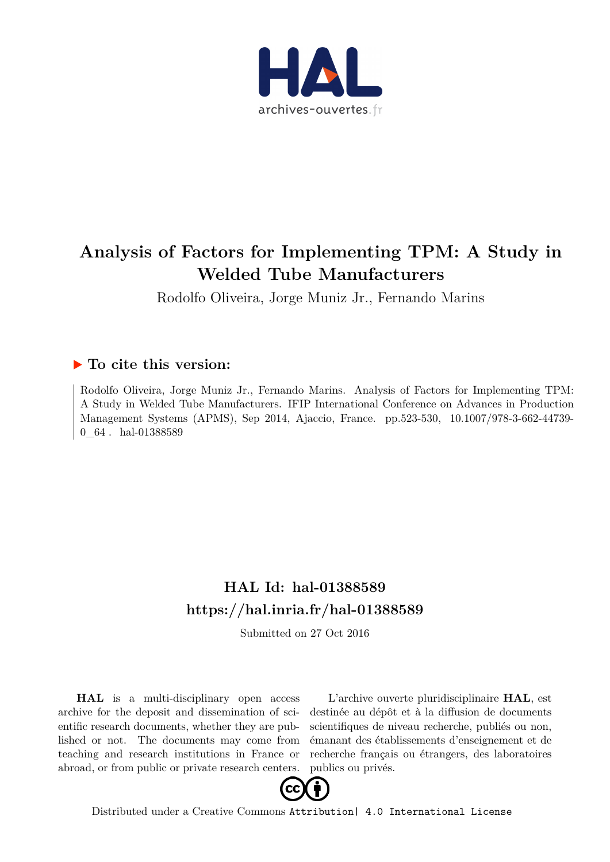

# **Analysis of Factors for Implementing TPM: A Study in Welded Tube Manufacturers**

Rodolfo Oliveira, Jorge Muniz Jr., Fernando Marins

### **To cite this version:**

Rodolfo Oliveira, Jorge Muniz Jr., Fernando Marins. Analysis of Factors for Implementing TPM: A Study in Welded Tube Manufacturers. IFIP International Conference on Advances in Production Management Systems (APMS), Sep 2014, Ajaccio, France. pp.523-530, 10.1007/978-3-662-44739-0 64. hal-01388589

## **HAL Id: hal-01388589 <https://hal.inria.fr/hal-01388589>**

Submitted on 27 Oct 2016

**HAL** is a multi-disciplinary open access archive for the deposit and dissemination of scientific research documents, whether they are published or not. The documents may come from teaching and research institutions in France or abroad, or from public or private research centers.

L'archive ouverte pluridisciplinaire **HAL**, est destinée au dépôt et à la diffusion de documents scientifiques de niveau recherche, publiés ou non, émanant des établissements d'enseignement et de recherche français ou étrangers, des laboratoires publics ou privés.



Distributed under a Creative Commons [Attribution| 4.0 International License](http://creativecommons.org/licenses/by/4.0/)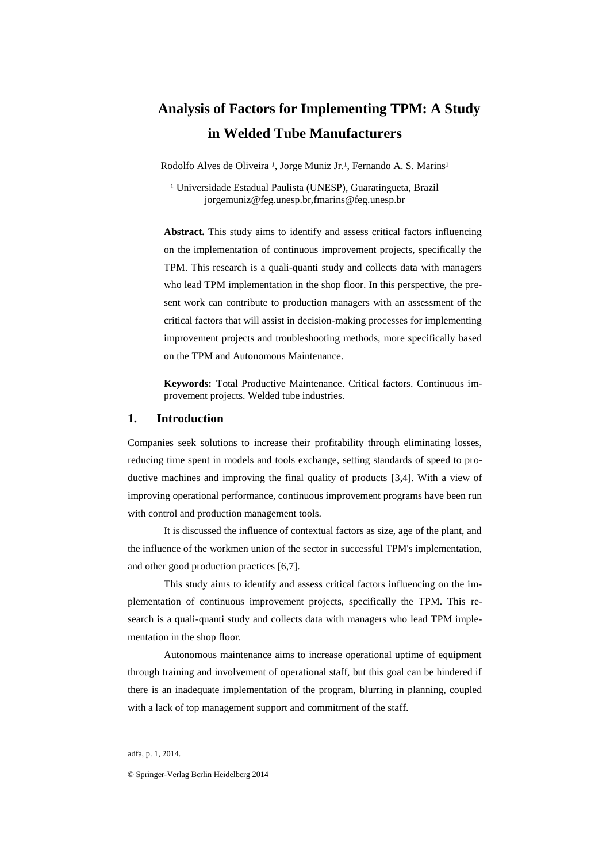## **Analysis of Factors for Implementing TPM: A Study in Welded Tube Manufacturers**

Rodolfo Alves de Oliveira <sup>1</sup>, Jorge Muniz Jr.<sup>1</sup>, Fernando A. S. Marins<sup>1</sup>

<sup>1</sup> Universidade Estadual Paulista (UNESP), Guaratingueta, Brazil jorgemuniz@feg.unesp.br,fmarins@feg.unesp.br

**Abstract.** This study aims to identify and assess critical factors influencing on the implementation of continuous improvement projects, specifically the TPM. This research is a quali-quanti study and collects data with managers who lead TPM implementation in the shop floor. In this perspective, the present work can contribute to production managers with an assessment of the critical factors that will assist in decision-making processes for implementing improvement projects and troubleshooting methods, more specifically based on the TPM and Autonomous Maintenance.

**Keywords:** Total Productive Maintenance. Critical factors. Continuous improvement projects. Welded tube industries.

#### **1. Introduction**

Companies seek solutions to increase their profitability through eliminating losses, reducing time spent in models and tools exchange, setting standards of speed to productive machines and improving the final quality of products [3,4]. With a view of improving operational performance, continuous improvement programs have been run with control and production management tools.

It is discussed the influence of contextual factors as size, age of the plant, and the influence of the workmen union of the sector in successful TPM's implementation, and other good production practices [6,7].

This study aims to identify and assess critical factors influencing on the implementation of continuous improvement projects, specifically the TPM. This research is a quali-quanti study and collects data with managers who lead TPM implementation in the shop floor.

Autonomous maintenance aims to increase operational uptime of equipment through training and involvement of operational staff, but this goal can be hindered if there is an inadequate implementation of the program, blurring in planning, coupled with a lack of top management support and commitment of the staff.

adfa, p. 1, 2014.

<sup>©</sup> Springer-Verlag Berlin Heidelberg 2014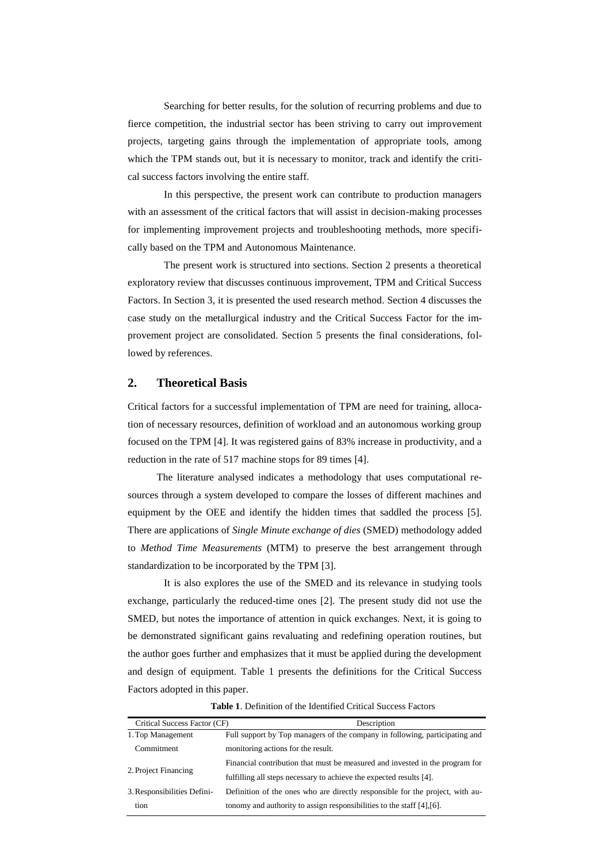Searching for better results, for the solution of recurring problems and due to fierce competition, the industrial sector has been striving to carry out improvement projects, targeting gains through the implementation of appropriate tools, among which the TPM stands out, but it is necessary to monitor, track and identify the critical success factors involving the entire staff.

In this perspective, the present work can contribute to production managers with an assessment of the critical factors that will assist in decision-making processes for implementing improvement projects and troubleshooting methods, more specifically based on the TPM and Autonomous Maintenance.

The present work is structured into sections. Section 2 presents a theoretical exploratory review that discusses continuous improvement, TPM and Critical Success Factors. In Section 3, it is presented the used research method. Section 4 discusses the case study on the metallurgical industry and the Critical Success Factor for the improvement project are consolidated. Section 5 presents the final considerations, followed by references.

#### **2. Theoretical Basis**

Critical factors for a successful implementation of TPM are need for training, allocation of necessary resources, definition of workload and an autonomous working group focused on the TPM [4]. It was registered gains of 83% increase in productivity, and a reduction in the rate of 517 machine stops for 89 times [4].

The literature analysed indicates a methodology that uses computational resources through a system developed to compare the losses of different machines and equipment by the OEE and identify the hidden times that saddled the process [5]. There are applications of *Single Minute exchange of dies* (SMED) methodology added to *Method Time Measurements* (MTM) to preserve the best arrangement through standardization to be incorporated by the TPM [3].

It is also explores the use of the SMED and its relevance in studying tools exchange, particularly the reduced-time ones [2]. The present study did not use the SMED, but notes the importance of attention in quick exchanges. Next, it is going to be demonstrated significant gains revaluating and redefining operation routines, but the author goes further and emphasizes that it must be applied during the development and design of equipment. Table 1 presents the definitions for the Critical Success Factors adopted in this paper.

| Critical Success Factor (CF) | Description                                                                   |  |  |  |  |  |  |
|------------------------------|-------------------------------------------------------------------------------|--|--|--|--|--|--|
| 1. Top Management            | Full support by Top managers of the company in following, participating and   |  |  |  |  |  |  |
| Commitment                   | monitoring actions for the result.                                            |  |  |  |  |  |  |
|                              | Financial contribution that must be measured and invested in the program for  |  |  |  |  |  |  |
| 2. Project Financing         | fulfilling all steps necessary to achieve the expected results [4].           |  |  |  |  |  |  |
| 3. Responsibilities Defini-  | Definition of the ones who are directly responsible for the project, with au- |  |  |  |  |  |  |
| tion                         | tonomy and authority to assign responsibilities to the staff [4], [6].        |  |  |  |  |  |  |

**Table 1**. Definition of the Identified Critical Success Factors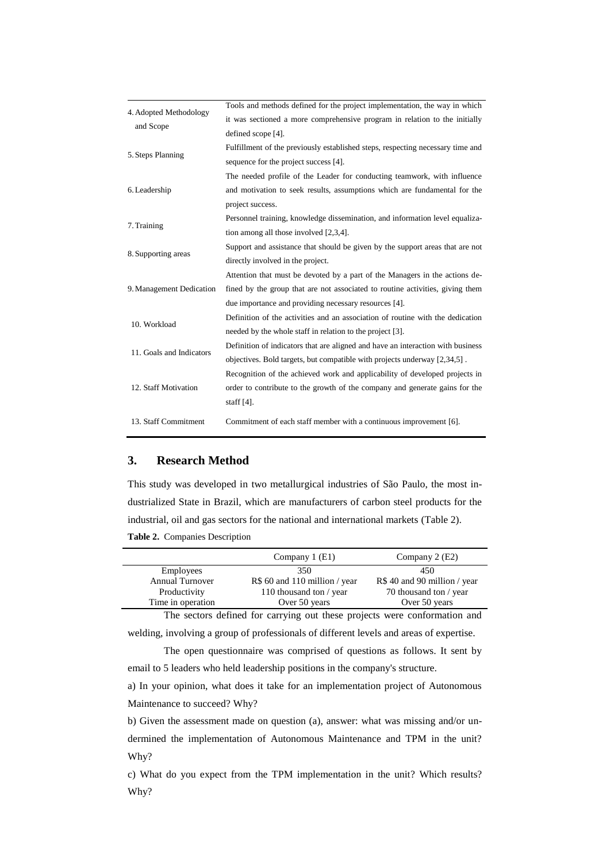| 4. Adopted Methodology   | Tools and methods defined for the project implementation, the way in which      |  |  |  |  |  |  |  |
|--------------------------|---------------------------------------------------------------------------------|--|--|--|--|--|--|--|
|                          | it was sectioned a more comprehensive program in relation to the initially      |  |  |  |  |  |  |  |
| and Scope                | defined scope [4].                                                              |  |  |  |  |  |  |  |
| 5. Steps Planning        | Fulfillment of the previously established steps, respecting necessary time and  |  |  |  |  |  |  |  |
|                          | sequence for the project success [4].                                           |  |  |  |  |  |  |  |
|                          | The needed profile of the Leader for conducting teamwork, with influence        |  |  |  |  |  |  |  |
| 6. Leadership            | and motivation to seek results, assumptions which are fundamental for the       |  |  |  |  |  |  |  |
|                          | project success.                                                                |  |  |  |  |  |  |  |
| 7. Training              | Personnel training, knowledge dissemination, and information level equaliza-    |  |  |  |  |  |  |  |
|                          | tion among all those involved [2,3,4].                                          |  |  |  |  |  |  |  |
| 8. Supporting areas      | Support and assistance that should be given by the support areas that are not   |  |  |  |  |  |  |  |
|                          | directly involved in the project.                                               |  |  |  |  |  |  |  |
|                          | Attention that must be devoted by a part of the Managers in the actions de-     |  |  |  |  |  |  |  |
| 9. Management Dedication | fined by the group that are not associated to routine activities, giving them   |  |  |  |  |  |  |  |
|                          | due importance and providing necessary resources [4].                           |  |  |  |  |  |  |  |
| 10. Workload             | Definition of the activities and an association of routine with the dedication  |  |  |  |  |  |  |  |
|                          | needed by the whole staff in relation to the project [3].                       |  |  |  |  |  |  |  |
| 11. Goals and Indicators | Definition of indicators that are aligned and have an interaction with business |  |  |  |  |  |  |  |
|                          | objectives. Bold targets, but compatible with projects underway [2,34,5].       |  |  |  |  |  |  |  |
|                          | Recognition of the achieved work and applicability of developed projects in     |  |  |  |  |  |  |  |
| 12. Staff Motivation     | order to contribute to the growth of the company and generate gains for the     |  |  |  |  |  |  |  |
|                          | staff $[4]$ .                                                                   |  |  |  |  |  |  |  |
| 13. Staff Commitment     | Commitment of each staff member with a continuous improvement [6].              |  |  |  |  |  |  |  |

#### **3. Research Method**

This study was developed in two metallurgical industries of São Paulo, the most industrialized State in Brazil, which are manufacturers of carbon steel products for the industrial, oil and gas sectors for the national and international markets (Table 2). **Table 2.** Companies Description

|                        | Company 1 (E1)                 | Company 2 (E2)               |
|------------------------|--------------------------------|------------------------------|
| Employees              | 350                            | 450                          |
| <b>Annual Turnover</b> | $R\$ 60 and 110 million / year | R\$ 40 and 90 million / year |
| Productivity           | 110 thousand ton / year        | 70 thousand ton / year       |
| Time in operation      | Over 50 years                  | Over 50 years                |

The sectors defined for carrying out these projects were conformation and welding, involving a group of professionals of different levels and areas of expertise.

The open questionnaire was comprised of questions as follows. It sent by email to 5 leaders who held leadership positions in the company's structure.

a) In your opinion, what does it take for an implementation project of Autonomous Maintenance to succeed? Why?

b) Given the assessment made on question (a), answer: what was missing and/or undermined the implementation of Autonomous Maintenance and TPM in the unit? Why?

c) What do you expect from the TPM implementation in the unit? Which results? Why?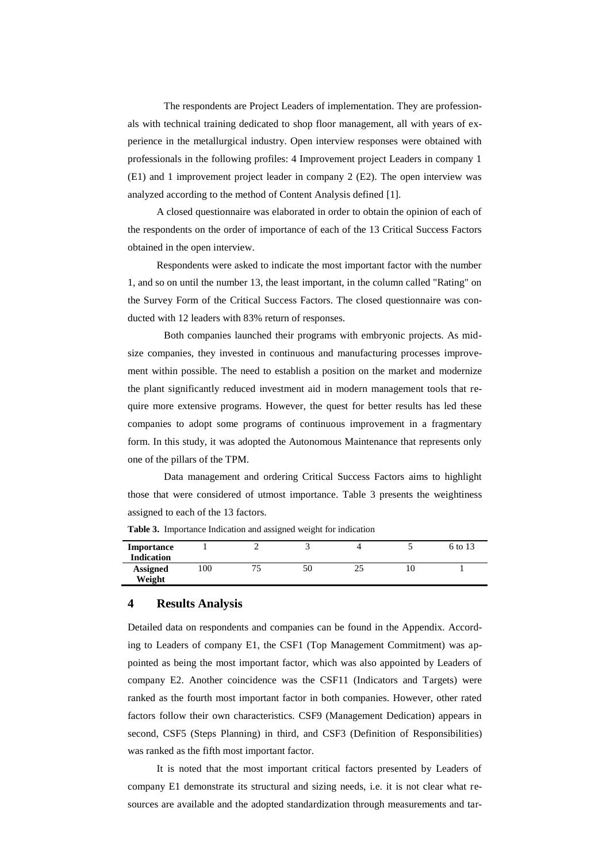The respondents are Project Leaders of implementation. They are professionals with technical training dedicated to shop floor management, all with years of experience in the metallurgical industry. Open interview responses were obtained with professionals in the following profiles: 4 Improvement project Leaders in company 1 (E1) and 1 improvement project leader in company 2 (E2). The open interview was analyzed according to the method of Content Analysis defined [1].

A closed questionnaire was elaborated in order to obtain the opinion of each of the respondents on the order of importance of each of the 13 Critical Success Factors obtained in the open interview.

Respondents were asked to indicate the most important factor with the number 1, and so on until the number 13, the least important, in the column called "Rating" on the Survey Form of the Critical Success Factors. The closed questionnaire was conducted with 12 leaders with 83% return of responses.

Both companies launched their programs with embryonic projects. As midsize companies, they invested in continuous and manufacturing processes improvement within possible. The need to establish a position on the market and modernize the plant significantly reduced investment aid in modern management tools that require more extensive programs. However, the quest for better results has led these companies to adopt some programs of continuous improvement in a fragmentary form. In this study, it was adopted the Autonomous Maintenance that represents only one of the pillars of the TPM.

Data management and ordering Critical Success Factors aims to highlight those that were considered of utmost importance. Table 3 presents the weightiness assigned to each of the 13 factors.

| Importance        |     |   |    |    | 6 to 13 |
|-------------------|-----|---|----|----|---------|
| <b>Indication</b> |     |   |    |    |         |
| <b>Assigned</b>   | 100 | ◡ | 50 | 25 |         |
| Weight            |     |   |    |    |         |

**Table 3.** Importance Indication and assigned weight for indication

#### **4 Results Analysis**

Detailed data on respondents and companies can be found in the Appendix. According to Leaders of company E1, the CSF1 (Top Management Commitment) was appointed as being the most important factor, which was also appointed by Leaders of company E2. Another coincidence was the CSF11 (Indicators and Targets) were ranked as the fourth most important factor in both companies. However, other rated factors follow their own characteristics. CSF9 (Management Dedication) appears in second, CSF5 (Steps Planning) in third, and CSF3 (Definition of Responsibilities) was ranked as the fifth most important factor.

It is noted that the most important critical factors presented by Leaders of company E1 demonstrate its structural and sizing needs, i.e. it is not clear what resources are available and the adopted standardization through measurements and tar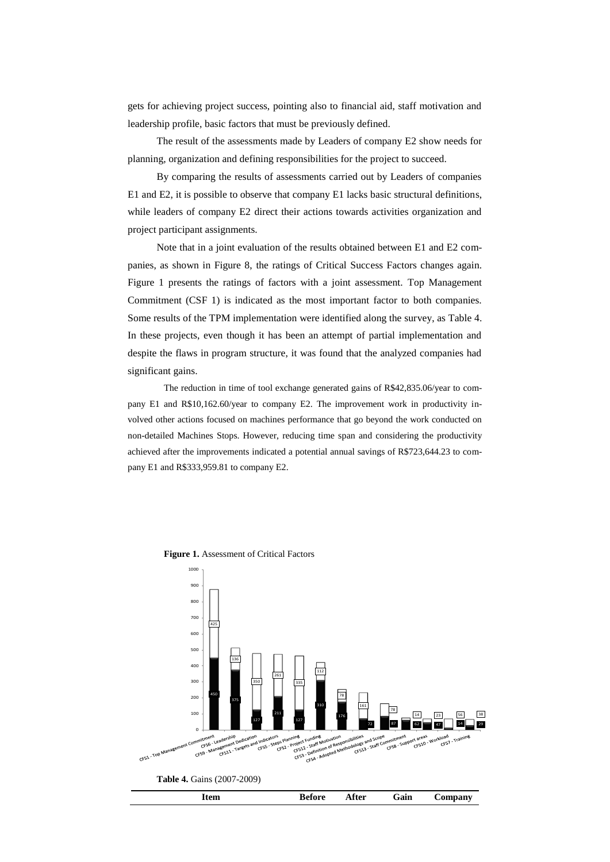gets for achieving project success, pointing also to financial aid, staff motivation and leadership profile, basic factors that must be previously defined.

The result of the assessments made by Leaders of company E2 show needs for planning, organization and defining responsibilities for the project to succeed.

By comparing the results of assessments carried out by Leaders of companies E1 and E2, it is possible to observe that company E1 lacks basic structural definitions, while leaders of company E2 direct their actions towards activities organization and project participant assignments.

Note that in a joint evaluation of the results obtained between E1 and E2 companies, as shown in Figure 8, the ratings of Critical Success Factors changes again. Figure 1 presents the ratings of factors with a joint assessment. Top Management Commitment (CSF 1) is indicated as the most important factor to both companies. Some results of the TPM implementation were identified along the survey, as Table 4. In these projects, even though it has been an attempt of partial implementation and despite the flaws in program structure, it was found that the analyzed companies had significant gains.

The reduction in time of tool exchange generated gains of R\$42,835.06/year to company E1 and R\$10,162.60/year to company E2. The improvement work in productivity involved other actions focused on machines performance that go beyond the work conducted on non-detailed Machines Stops. However, reducing time span and considering the productivity achieved after the improvements indicated a potential annual savings of R\$723,644.23 to company E1 and R\$333,959.81 to company E2.

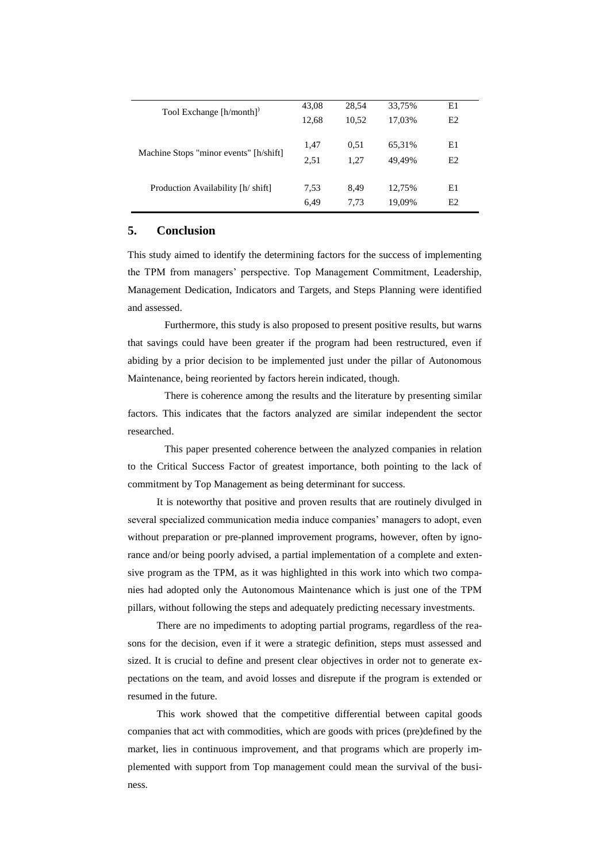| Tool Exchange $[h/month]$ <sup>'</sup> | 43,08<br>12,68 | 28,54<br>10,52 | 33,75%<br>17,03% | E1<br>E2 |  |
|----------------------------------------|----------------|----------------|------------------|----------|--|
|                                        | 1,47           | 0.51           | 65,31%           | E1       |  |
| Machine Stops "minor events" [h/shift] | 2,51           | 1,27           | 49.49%           | E2       |  |
| Production Availability [h/ shift]     | 7,53<br>6,49   | 8.49<br>7,73   | 12,75%<br>19,09% | E1<br>E2 |  |

#### **5. Conclusion**

This study aimed to identify the determining factors for the success of implementing the TPM from managers' perspective. Top Management Commitment, Leadership, Management Dedication, Indicators and Targets, and Steps Planning were identified and assessed.

Furthermore, this study is also proposed to present positive results, but warns that savings could have been greater if the program had been restructured, even if abiding by a prior decision to be implemented just under the pillar of Autonomous Maintenance, being reoriented by factors herein indicated, though.

There is coherence among the results and the literature by presenting similar factors. This indicates that the factors analyzed are similar independent the sector researched.

This paper presented coherence between the analyzed companies in relation to the Critical Success Factor of greatest importance, both pointing to the lack of commitment by Top Management as being determinant for success.

It is noteworthy that positive and proven results that are routinely divulged in several specialized communication media induce companies' managers to adopt, even without preparation or pre-planned improvement programs, however, often by ignorance and/or being poorly advised, a partial implementation of a complete and extensive program as the TPM, as it was highlighted in this work into which two companies had adopted only the Autonomous Maintenance which is just one of the TPM pillars, without following the steps and adequately predicting necessary investments.

There are no impediments to adopting partial programs, regardless of the reasons for the decision, even if it were a strategic definition, steps must assessed and sized. It is crucial to define and present clear objectives in order not to generate expectations on the team, and avoid losses and disrepute if the program is extended or resumed in the future.

This work showed that the competitive differential between capital goods companies that act with commodities, which are goods with prices (pre)defined by the market, lies in continuous improvement, and that programs which are properly implemented with support from Top management could mean the survival of the business.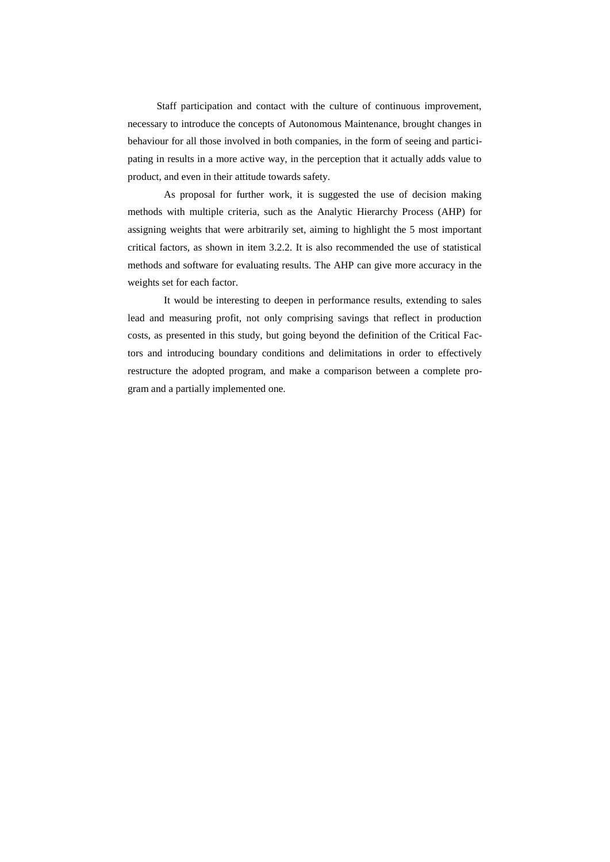Staff participation and contact with the culture of continuous improvement, necessary to introduce the concepts of Autonomous Maintenance, brought changes in behaviour for all those involved in both companies, in the form of seeing and participating in results in a more active way, in the perception that it actually adds value to product, and even in their attitude towards safety.

As proposal for further work, it is suggested the use of decision making methods with multiple criteria, such as the Analytic Hierarchy Process (AHP) for assigning weights that were arbitrarily set, aiming to highlight the 5 most important critical factors, as shown in item 3.2.2. It is also recommended the use of statistical methods and software for evaluating results. The AHP can give more accuracy in the weights set for each factor.

It would be interesting to deepen in performance results, extending to sales lead and measuring profit, not only comprising savings that reflect in production costs, as presented in this study, but going beyond the definition of the Critical Factors and introducing boundary conditions and delimitations in order to effectively restructure the adopted program, and make a comparison between a complete program and a partially implemented one.